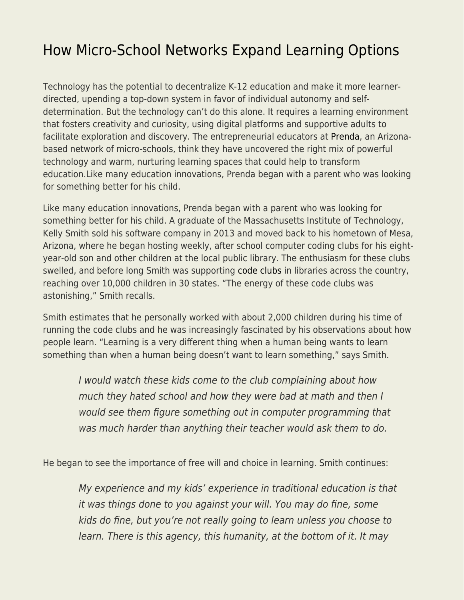## [How Micro-School Networks Expand Learning Options](https://everything-voluntary.com/how-micro-school-networks-expand-learning-options)

Technology has the potential to decentralize K-12 education and make it more learnerdirected, upending a top-down system in favor of individual autonomy and selfdetermination. But the technology can't do this alone. It requires a learning environment that fosters creativity and curiosity, using digital platforms and supportive adults to facilitate exploration and discovery. The entrepreneurial educators at [Prenda,](https://prendaschool.com/) an Arizonabased network of micro-schools, think they have uncovered the right mix of powerful technology and warm, nurturing learning spaces that could help to transform education.Like many education innovations, Prenda began with a parent who was looking for something better for his child.

Like many education innovations, Prenda began with a parent who was looking for something better for his child. A graduate of the Massachusetts Institute of Technology, Kelly Smith sold his software company in 2013 and moved back to his hometown of Mesa, Arizona, where he began hosting weekly, after school computer coding clubs for his eightyear-old son and other children at the local public library. The enthusiasm for these clubs swelled, and before long Smith was supporting [code clubs](https://prendacodeclub.com/) in libraries across the country, reaching over 10,000 children in 30 states. "The energy of these code clubs was astonishing," Smith recalls.

Smith estimates that he personally worked with about 2,000 children during his time of running the code clubs and he was increasingly fascinated by his observations about how people learn. "Learning is a very different thing when a human being wants to learn something than when a human being doesn't want to learn something," says Smith.

I would watch these kids come to the club complaining about how much they hated school and how they were bad at math and then I would see them figure something out in computer programming that was much harder than anything their teacher would ask them to do.

He began to see the importance of free will and choice in learning. Smith continues:

My experience and my kids' experience in traditional education is that it was things done to you against your will. You may do fine, some kids do fine, but you're not really going to learn unless you choose to learn. There is this agency, this humanity, at the bottom of it. It may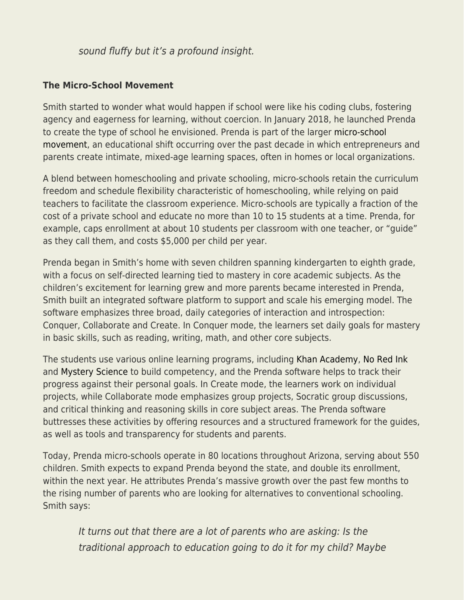## sound fluffy but it's a profound insight.

## **The Micro-School Movement**

Smith started to wonder what would happen if school were like his coding clubs, fostering agency and eagerness for learning, without coercion. In January 2018, he launched Prenda to create the type of school he envisioned. Prenda is part of the larger [micro-school](https://en.wikipedia.org/wiki/Micro-schooling) [movement](https://en.wikipedia.org/wiki/Micro-schooling), an educational shift occurring over the past decade in which entrepreneurs and parents create intimate, mixed-age learning spaces, often in homes or local organizations.

A blend between homeschooling and private schooling, micro-schools retain the curriculum freedom and schedule flexibility characteristic of homeschooling, while relying on paid teachers to facilitate the classroom experience. Micro-schools are typically a fraction of the cost of a private school and educate no more than 10 to 15 students at a time. Prenda, for example, caps enrollment at about 10 students per classroom with one teacher, or "guide" as they call them, and costs \$5,000 per child per year.

Prenda began in Smith's home with seven children spanning kindergarten to eighth grade, with a focus on self-directed learning tied to mastery in core academic subjects. As the children's excitement for learning grew and more parents became interested in Prenda, Smith built an integrated software platform to support and scale his emerging model. The software emphasizes three broad, daily categories of interaction and introspection: Conquer, Collaborate and Create. In Conquer mode, the learners set daily goals for mastery in basic skills, such as reading, writing, math, and other core subjects.

The students use various online learning programs, including [Khan Academy,](https://www.khanacademy.org/) [No Red Ink](https://www.noredink.com/) and [Mystery Science](https://mysteryscience.com/) to build competency, and the Prenda software helps to track their progress against their personal goals. In Create mode, the learners work on individual projects, while Collaborate mode emphasizes group projects, Socratic group discussions, and critical thinking and reasoning skills in core subject areas. The Prenda software buttresses these activities by offering resources and a structured framework for the guides, as well as tools and transparency for students and parents.

Today, Prenda micro-schools operate in 80 locations throughout Arizona, serving about 550 children. Smith expects to expand Prenda beyond the state, and double its enrollment, within the next year. He attributes Prenda's massive growth over the past few months to the rising number of parents who are looking for alternatives to conventional schooling. Smith says:

It turns out that there are a lot of parents who are asking: Is the traditional approach to education going to do it for my child? Maybe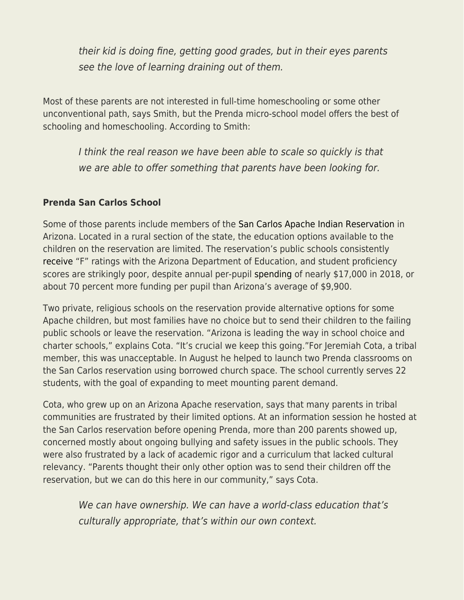their kid is doing fine, getting good grades, but in their eyes parents see the love of learning draining out of them.

Most of these parents are not interested in full-time homeschooling or some other unconventional path, says Smith, but the Prenda micro-school model offers the best of schooling and homeschooling. According to Smith:

I think the real reason we have been able to scale so quickly is that we are able to offer something that parents have been looking for.

## **Prenda San Carlos School**

Some of those parents include members of the [San Carlos Apache Indian Reservation](https://en.wikipedia.org/wiki/San_Carlos_Apache_Indian_Reservation) in Arizona. Located in a rural section of the state, the education options available to the children on the reservation are limited. The reservation's public schools consistently [receive](https://www.azauditor.gov/sites/default/files/San_Carlos_USD.pdf) "F" ratings with the Arizona Department of Education, and student proficiency scores are strikingly poor, despite annual per-pupil [spending](https://www.azauditor.gov/sites/default/files/San_Carlos_USD.pdf) of nearly \$17,000 in 2018, or about 70 percent more funding per pupil than Arizona's average of \$9,900.

Two private, religious schools on the reservation provide alternative options for some Apache children, but most families have no choice but to send their children to the failing public schools or leave the reservation. "Arizona is leading the way in school choice and charter schools," explains Cota. "It's crucial we keep this going."For Jeremiah Cota, a tribal member, this was unacceptable. In August he helped to launch two Prenda classrooms on the San Carlos reservation using borrowed church space. The school currently serves 22 students, with the goal of expanding to meet mounting parent demand.

Cota, who grew up on an Arizona Apache reservation, says that many parents in tribal communities are frustrated by their limited options. At an information session he hosted at the San Carlos reservation before opening Prenda, more than 200 parents showed up, concerned mostly about ongoing bullying and safety issues in the public schools. They were also frustrated by a lack of academic rigor and a curriculum that lacked cultural relevancy. "Parents thought their only other option was to send their children off the reservation, but we can do this here in our community," says Cota.

We can have ownership. We can have a world-class education that's culturally appropriate, that's within our own context.